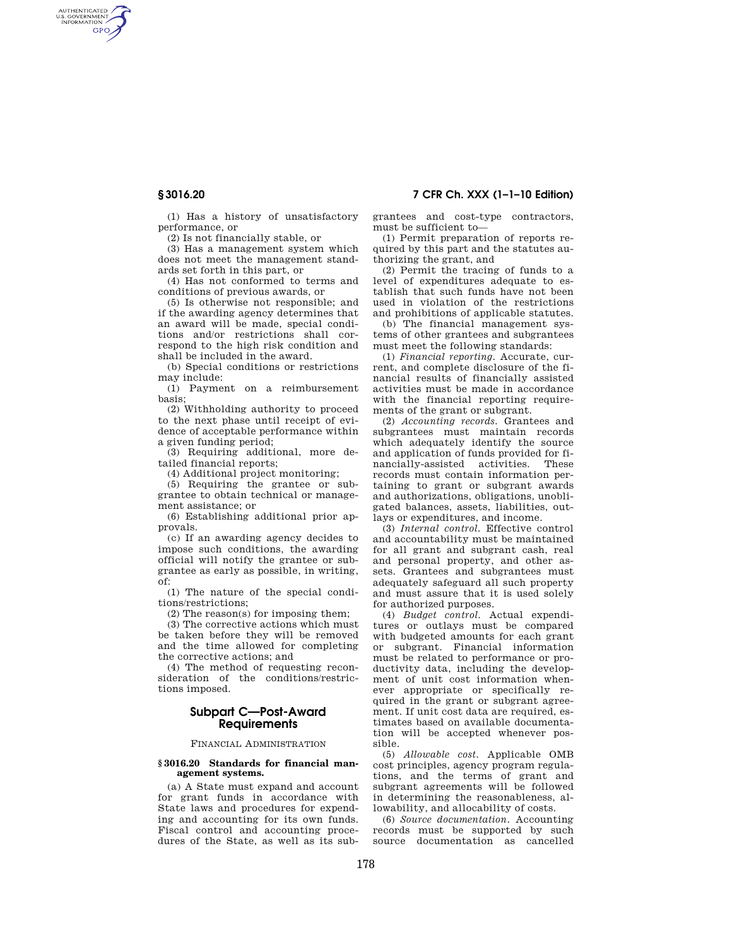AUTHENTICATED<br>U.S. GOVERNMENT<br>INFORMATION **GPO** 

**§ 3016.20 7 CFR Ch. XXX (1–1–10 Edition)** 

(1) Has a history of unsatisfactory performance, or

(2) Is not financially stable, or

(3) Has a management system which does not meet the management standards set forth in this part, or

(4) Has not conformed to terms and conditions of previous awards, or

(5) Is otherwise not responsible; and if the awarding agency determines that an award will be made, special conditions and/or restrictions shall correspond to the high risk condition and shall be included in the award.

(b) Special conditions or restrictions may include:

(1) Payment on a reimbursement basis;

(2) Withholding authority to proceed to the next phase until receipt of evidence of acceptable performance within a given funding period;

(3) Requiring additional, more detailed financial reports;

(4) Additional project monitoring;

(5) Requiring the grantee or subgrantee to obtain technical or management assistance; or

(6) Establishing additional prior approvals.

(c) If an awarding agency decides to impose such conditions, the awarding official will notify the grantee or subgrantee as early as possible, in writing, of:

(1) The nature of the special conditions/restrictions;

(2) The reason(s) for imposing them;

(3) The corrective actions which must be taken before they will be removed and the time allowed for completing the corrective actions; and

(4) The method of requesting reconsideration of the conditions/restrictions imposed.

# **Subpart C—Post-Award Requirements**

# FINANCIAL ADMINISTRATION

### **§ 3016.20 Standards for financial management systems.**

(a) A State must expand and account for grant funds in accordance with State laws and procedures for expending and accounting for its own funds. Fiscal control and accounting procedures of the State, as well as its subgrantees and cost-type contractors, must be sufficient to—

(1) Permit preparation of reports required by this part and the statutes authorizing the grant, and

(2) Permit the tracing of funds to a level of expenditures adequate to establish that such funds have not been used in violation of the restrictions and prohibitions of applicable statutes.

(b) The financial management systems of other grantees and subgrantees must meet the following standards:

(1) *Financial reporting.* Accurate, current, and complete disclosure of the financial results of financially assisted activities must be made in accordance with the financial reporting requirements of the grant or subgrant.

(2) *Accounting records.* Grantees and subgrantees must maintain records which adequately identify the source and application of funds provided for financially-assisted activities. These records must contain information pertaining to grant or subgrant awards and authorizations, obligations, unobligated balances, assets, liabilities, outlays or expenditures, and income.

(3) *Internal control.* Effective control and accountability must be maintained for all grant and subgrant cash, real and personal property, and other assets. Grantees and subgrantees must adequately safeguard all such property and must assure that it is used solely for authorized purposes.

(4) *Budget control.* Actual expenditures or outlays must be compared with budgeted amounts for each grant or subgrant. Financial information must be related to performance or productivity data, including the development of unit cost information whenever appropriate or specifically required in the grant or subgrant agreement. If unit cost data are required, estimates based on available documentation will be accepted whenever possible.

(5) *Allowable cost.* Applicable OMB cost principles, agency program regulations, and the terms of grant and subgrant agreements will be followed in determining the reasonableness, allowability, and allocability of costs.

(6) *Source documentation.* Accounting records must be supported by such source documentation as cancelled